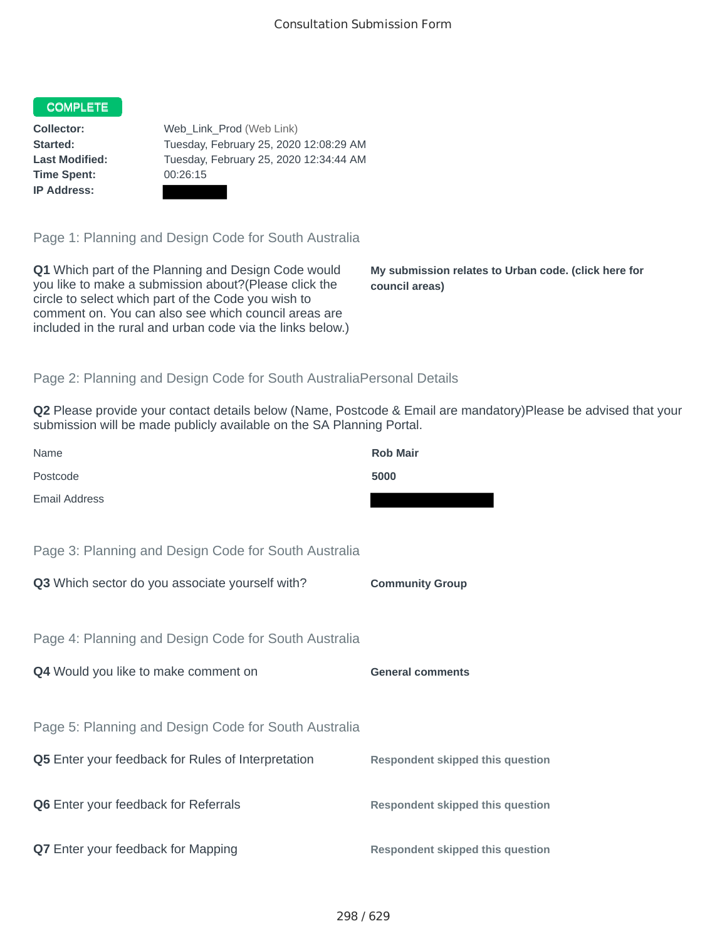## COMPLETE

**Time Spent:** 00:26:15 **IP Address:**

**Collector:** Web\_Link\_Prod (Web Link) **Started:** Tuesday, February 25, 2020 12:08:29 AM **Last Modified:** Tuesday, February 25, 2020 12:34:44 AM

Page 1: Planning and Design Code for South Australia

**Q1** Which part of the Planning and Design Code would you like to make a submission about?(Please click the circle to select which part of the Code you wish to comment on. You can also see which council areas are included in the rural and urban code via the links below.)

**My submission relates to Urban code. (click here for council areas)**

## Page 2: Planning and Design Code for South AustraliaPersonal Details

**Q2** Please provide your contact details below (Name, Postcode & Email are mandatory)Please be advised that your submission will be made publicly available on the SA Planning Portal.

| Name                                                      | <b>Rob Mair</b>                         |
|-----------------------------------------------------------|-----------------------------------------|
| Postcode                                                  | 5000                                    |
| <b>Email Address</b>                                      |                                         |
|                                                           |                                         |
| Page 3: Planning and Design Code for South Australia      |                                         |
| Q3 Which sector do you associate yourself with?           | <b>Community Group</b>                  |
|                                                           |                                         |
| Page 4: Planning and Design Code for South Australia      |                                         |
| Q4 Would you like to make comment on                      | <b>General comments</b>                 |
|                                                           |                                         |
| Page 5: Planning and Design Code for South Australia      |                                         |
| <b>Q5</b> Enter your feedback for Rules of Interpretation | <b>Respondent skipped this question</b> |
|                                                           |                                         |
| <b>Q6</b> Enter your feedback for Referrals               | <b>Respondent skipped this question</b> |
|                                                           |                                         |
| <b>Q7</b> Enter your feedback for Mapping                 | <b>Respondent skipped this question</b> |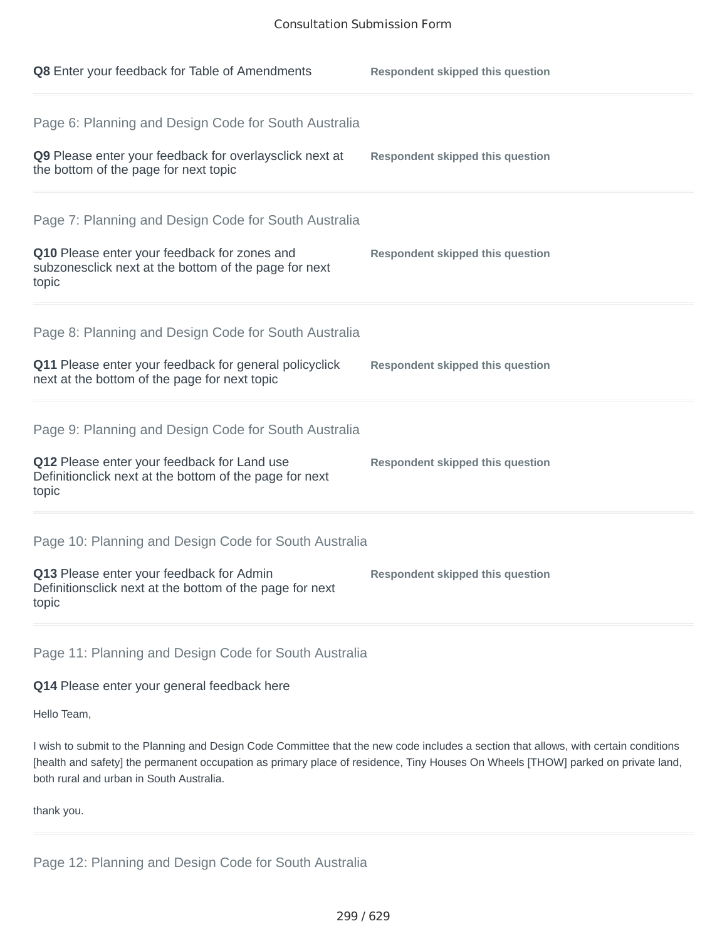| Q8 Enter your feedback for Table of Amendments                                                                                                                          | <b>Respondent skipped this question</b> |
|-------------------------------------------------------------------------------------------------------------------------------------------------------------------------|-----------------------------------------|
| Page 6: Planning and Design Code for South Australia<br>Q9 Please enter your feedback for overlaysclick next at<br>the bottom of the page for next topic                | <b>Respondent skipped this question</b> |
| Page 7: Planning and Design Code for South Australia<br>Q10 Please enter your feedback for zones and<br>subzonesclick next at the bottom of the page for next<br>topic  | <b>Respondent skipped this question</b> |
| Page 8: Planning and Design Code for South Australia<br>Q11 Please enter your feedback for general policyclick<br>next at the bottom of the page for next topic         | <b>Respondent skipped this question</b> |
| Page 9: Planning and Design Code for South Australia<br>Q12 Please enter your feedback for Land use<br>Definitionclick next at the bottom of the page for next<br>topic | <b>Respondent skipped this question</b> |
| Page 10: Planning and Design Code for South Australia<br>Q13 Please enter your feedback for Admin<br>Definitionsclick next at the bottom of the page for next<br>topic  | <b>Respondent skipped this question</b> |
|                                                                                                                                                                         |                                         |

Page 11: Planning and Design Code for South Australia

## **Q14** Please enter your general feedback here

Hello Team,

I wish to submit to the Planning and Design Code Committee that the new code includes a section that allows, with certain conditions [health and safety] the permanent occupation as primary place of residence, Tiny Houses On Wheels [THOW] parked on private land, both rural and urban in South Australia.

thank you.